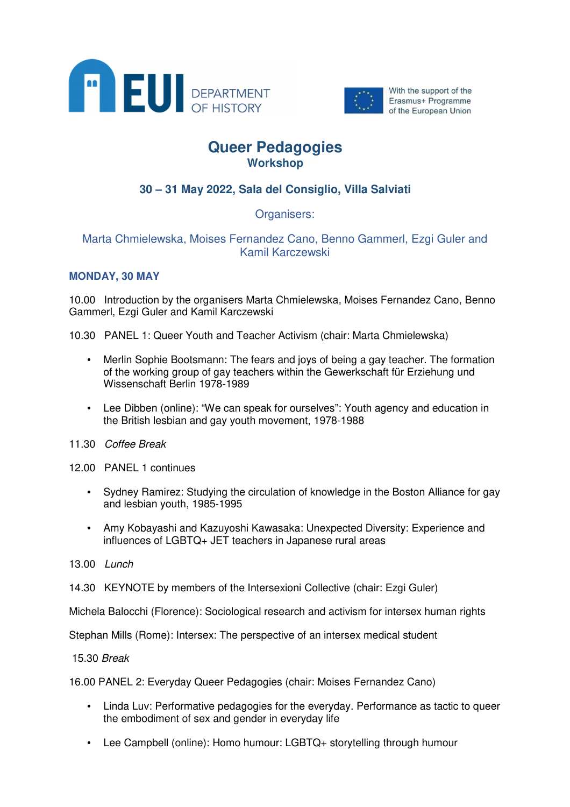



With the support of the Erasmus+ Programme of the European Union

# **Queer Pedagogies Workshop**

## **30 – 31 May 2022, Sala del Consiglio, Villa Salviati**

Organisers:

## Marta Chmielewska, Moises Fernandez Cano, Benno Gammerl, Ezgi Guler and Kamil Karczewski

## **MONDAY, 30 MAY**

10.00 Introduction by the organisers Marta Chmielewska, Moises Fernandez Cano, Benno Gammerl, Ezgi Guler and Kamil Karczewski

10.30 PANEL 1: Queer Youth and Teacher Activism (chair: Marta Chmielewska)

- Merlin Sophie Bootsmann: The fears and joys of being a gay teacher. The formation of the working group of gay teachers within the Gewerkschaft für Erziehung und Wissenschaft Berlin 1978-1989
- Lee Dibben (online): "We can speak for ourselves": Youth agency and education in the British lesbian and gay youth movement, 1978-1988
- 11.30 Coffee Break
- 12.00 PANEL 1 continues
	- Sydney Ramirez: Studying the circulation of knowledge in the Boston Alliance for gay and lesbian youth, 1985-1995
	- Amy Kobayashi and Kazuyoshi Kawasaka: Unexpected Diversity: Experience and influences of LGBTQ+ JET teachers in Japanese rural areas
- 13.00 Lunch
- 14.30 KEYNOTE by members of the Intersexioni Collective (chair: Ezgi Guler)

Michela Balocchi (Florence): Sociological research and activism for intersex human rights

Stephan Mills (Rome): Intersex: The perspective of an intersex medical student

15.30 Break

16.00 PANEL 2: Everyday Queer Pedagogies (chair: Moises Fernandez Cano)

- Linda Luv: Performative pedagogies for the everyday. Performance as tactic to queer the embodiment of sex and gender in everyday life
- Lee Campbell (online): Homo humour: LGBTQ+ storytelling through humour